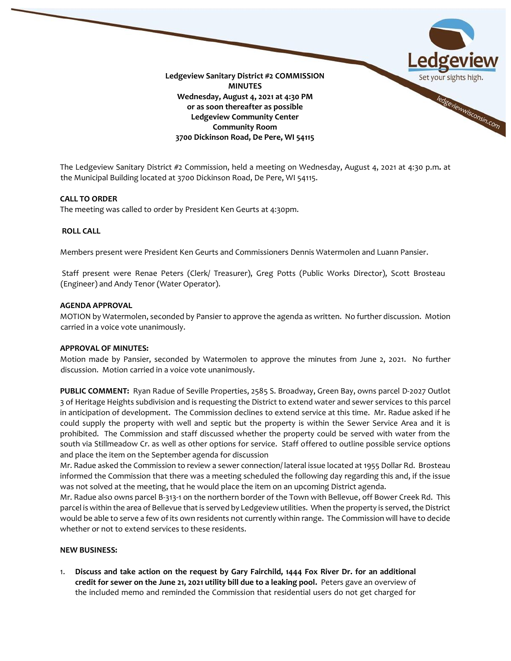

The Ledgeview Sanitary District #2 Commission, held a meeting on Wednesday, August 4, 2021 at 4:30 p.m**.** at the Municipal Building located at 3700 Dickinson Road, De Pere, WI 54115.

#### **CALL TO ORDER**

The meeting was called to order by President Ken Geurts at 4:30pm.

#### **ROLL CALL**

Members present were President Ken Geurts and Commissioners Dennis Watermolen and Luann Pansier.

Staff present were Renae Peters (Clerk/ Treasurer), Greg Potts (Public Works Director), Scott Brosteau (Engineer) and Andy Tenor (Water Operator).

#### **AGENDA APPROVAL**

MOTION by Watermolen, seconded by Pansier to approve the agenda as written. No further discussion. Motion carried in a voice vote unanimously.

#### **APPROVAL OF MINUTES:**

Motion made by Pansier, seconded by Watermolen to approve the minutes from June 2, 2021. No further discussion. Motion carried in a voice vote unanimously.

**PUBLIC COMMENT:** Ryan Radue of Seville Properties, 2585 S. Broadway, Green Bay, owns parcel D-2027 Outlot 3 of Heritage Heights subdivision and is requesting the District to extend water and sewer services to this parcel in anticipation of development. The Commission declines to extend service at this time. Mr. Radue asked if he could supply the property with well and septic but the property is within the Sewer Service Area and it is prohibited. The Commission and staff discussed whether the property could be served with water from the south via Stillmeadow Cr. as well as other options for service. Staff offered to outline possible service options and place the item on the September agenda for discussion

Mr. Radue asked the Commission to review a sewer connection/ lateral issue located at 1955 Dollar Rd. Brosteau informed the Commission that there was a meeting scheduled the following day regarding this and, if the issue was not solved at the meeting, that he would place the item on an upcoming District agenda.

Mr. Radue also owns parcel B-313-1 on the northern border of the Town with Bellevue, off Bower Creek Rd. This parcel is within the area of Bellevue that is served by Ledgeview utilities. When the property is served, the District would be able to serve a few of its own residents not currently within range. The Commission will have to decide whether or not to extend services to these residents.

# **NEW BUSINESS:**

1. **Discuss and take action on the request by Gary Fairchild, 1444 Fox River Dr. for an additional credit for sewer on the June 21, 2021 utility bill due to a leaking pool.** Peters gave an overview of the included memo and reminded the Commission that residential users do not get charged for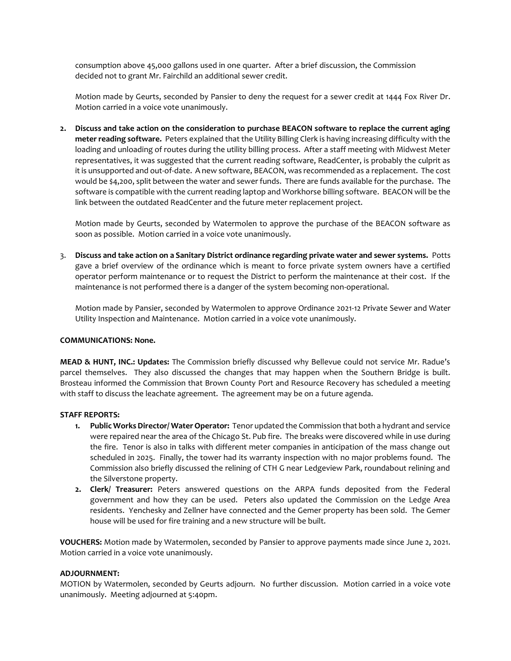consumption above 45,000 gallons used in one quarter. After a brief discussion, the Commission decided not to grant Mr. Fairchild an additional sewer credit.

Motion made by Geurts, seconded by Pansier to deny the request for a sewer credit at 1444 Fox River Dr. Motion carried in a voice vote unanimously.

**2. Discuss and take action on the consideration to purchase BEACON software to replace the current aging meter reading software.** Peters explained that the Utility Billing Clerk is having increasing difficulty with the loading and unloading of routes during the utility billing process. After a staff meeting with Midwest Meter representatives, it was suggested that the current reading software, ReadCenter, is probably the culprit as it is unsupported and out-of-date. A new software, BEACON, was recommended as a replacement. The cost would be \$4,200, split between the water and sewer funds. There are funds available for the purchase. The software is compatible with the current reading laptop and Workhorse billing software. BEACON will be the link between the outdated ReadCenter and the future meter replacement project.

Motion made by Geurts, seconded by Watermolen to approve the purchase of the BEACON software as soon as possible. Motion carried in a voice vote unanimously.

3. **Discuss and take action on a Sanitary District ordinance regarding private water and sewer systems.** Potts gave a brief overview of the ordinance which is meant to force private system owners have a certified operator perform maintenance or to request the District to perform the maintenance at their cost. If the maintenance is not performed there is a danger of the system becoming non-operational.

Motion made by Pansier, seconded by Watermolen to approve Ordinance 2021-12 Private Sewer and Water Utility Inspection and Maintenance. Motion carried in a voice vote unanimously.

# **COMMUNICATIONS: None.**

**MEAD & HUNT, INC.: Updates:** The Commission briefly discussed why Bellevue could not service Mr. Radue's parcel themselves. They also discussed the changes that may happen when the Southern Bridge is built. Brosteau informed the Commission that Brown County Port and Resource Recovery has scheduled a meeting with staff to discuss the leachate agreement. The agreement may be on a future agenda.

# **STAFF REPORTS:**

- **1. Public Works Director/ Water Operator:** Tenor updated the Commission that both a hydrant and service were repaired near the area of the Chicago St. Pub fire. The breaks were discovered while in use during the fire. Tenor is also in talks with different meter companies in anticipation of the mass change out scheduled in 2025. Finally, the tower had its warranty inspection with no major problems found. The Commission also briefly discussed the relining of CTH G near Ledgeview Park, roundabout relining and the Silverstone property.
- **2. Clerk/ Treasurer:** Peters answered questions on the ARPA funds deposited from the Federal government and how they can be used. Peters also updated the Commission on the Ledge Area residents. Yenchesky and Zellner have connected and the Gemer property has been sold. The Gemer house will be used for fire training and a new structure will be built.

**VOUCHERS:** Motion made by Watermolen, seconded by Pansier to approve payments made since June 2, 2021. Motion carried in a voice vote unanimously.

# **ADJOURNMENT:**

MOTION by Watermolen, seconded by Geurts adjourn. No further discussion. Motion carried in a voice vote unanimously. Meeting adjourned at 5:40pm.